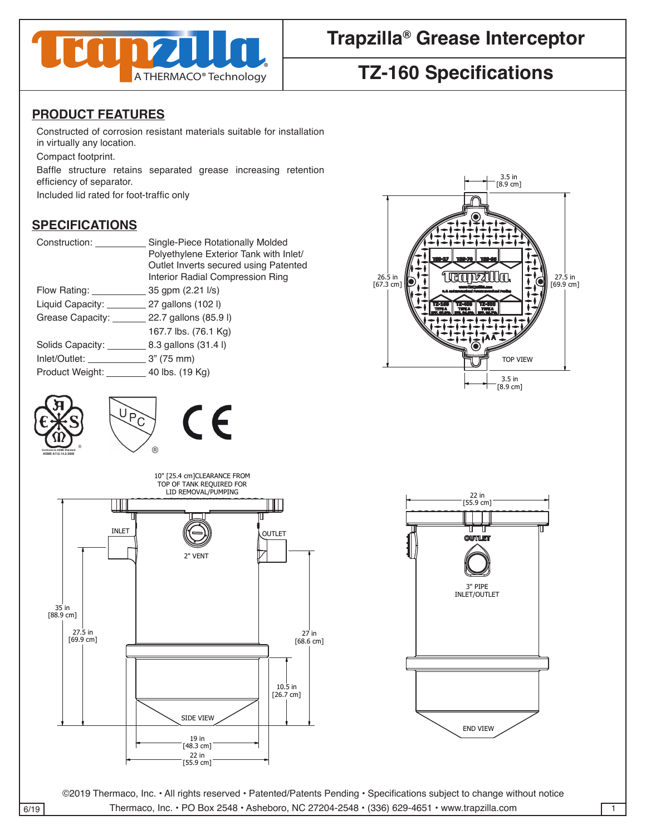

# **Trapzilla® Grease Interceptor**

# **TZ-160 Specifications**

#### **PRODUCT FEATURES**

Constructed of corrosion resistant materials suitable for installation in virtually any location.

Compact footprint. 4

Baffle structure retains separated grease increasing retention efficiency of separator.

Included lid rated for foot-traffic only

| Construction:      | Single-Piece Rotationally Molded       | -i-i-i-i-i-          |
|--------------------|----------------------------------------|----------------------|
|                    | Polyethylene Exterior Tank with Inlet/ | 138-27 138-70 138-95 |
|                    | Outlet Inverts secured using Patented  |                      |
|                    | Interior Radial Compression Ring       | 26.5 in<br>27.5 in   |
| Flow Rating: _     | 35 gpm (2.21 l/s)                      | [69.9 cm]            |
| Liquid Capacity: _ | 27 gallons (102 l)                     |                      |
| Grease Capacity:   | 22.7 gallons (85.9 l)                  |                      |
|                    | 167.7 lbs. (76.1 Kg)                   |                      |
| Solids Capacity:   | 8.3 gallons (31.4 l)                   |                      |
| Inlet/Outlet:      | 3" (75 mm)                             | TOP VIEW             |
| Product Weight:    | 40 lbs. (19 Kg)                        |                      |
|                    |                                        | 3.5 in<br>[8.9 cm]   |











©2019 Thermaco, Inc. • All rights reserved • Patented/Patents Pending • Specifications subject to change without notice 6/19 Thermaco, Inc. • PO Box 2548 • Asheboro, NC 27204-2548 • (336) 629-4651 • www.trapzilla.com 1  $T$  This drawing  $T$  of the solution of the sole property of the sole property of the sole property of the sole property of the sole property of the sole property of the sole property of the sole property of the sole prop

DRAWN DATE

CHECKED SIZE REV. NO. DWG NO.